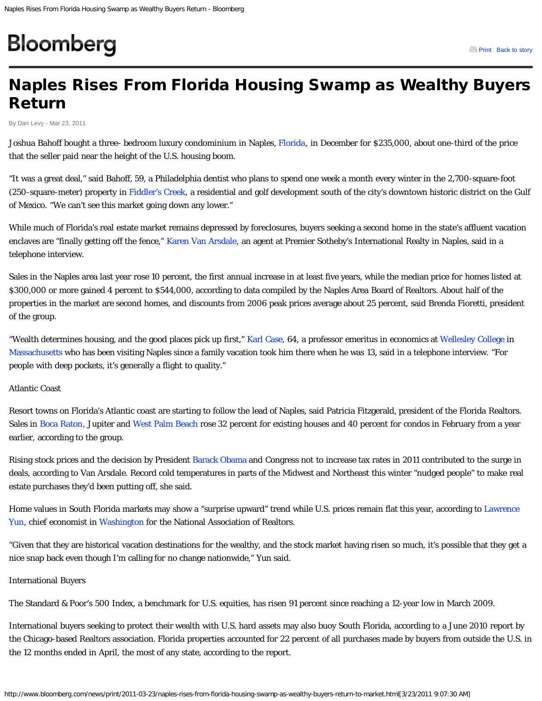# <span id="page-0-0"></span>Bloomberg

## Naples Rises From Florida Housing Swamp as Wealthy Buyers Return

By Dan Levy - Mar 23, 2011

Joshua Bahoff bought a three- bedroom luxury condominium in Naples, [Florida,](http://topics.bloomberg.com/florida/) in December for \$235,000, about one-third of the price that the seller paid near the height of the U.S. housing boom.

"It was a great deal," said Bahoff, 59, a Philadelphia dentist who plans to spend one week a month every winter in the 2,700-square-foot (250-square-meter) property in [Fiddler's Creek,](http://www.fiddlerscreek.com/about-fiddlers-creek/about-us) a residential and golf development south of the city's downtown historic district on the Gulf of Mexico. "We can't see this market going down any lower."

While much of Florida's real estate market remains depressed by foreclosures, buyers seeking a second home in the state's affluent vacation enclaves are "finally getting off the fence," [Karen Van Arsdale](http://karenvanarsdale.com/), an agent at Premier Sotheby's International Realty in Naples, said in a telephone interview.

Sales in the Naples area last year rose 10 percent, the first annual increase in at least five years, while the median price for homes listed at \$300,000 or more gained 4 percent to \$544,000, according to data compiled by the Naples Area Board of Realtors. About half of the properties in the market are second homes, and discounts from 2006 peak prices average about 25 percent, said Brenda Fioretti, president of the group.

"Wealth determines housing, and the good places pick up first," [Karl Case,](http://topics.bloomberg.com/karl-case/) 64, a professor emeritus in economics at [Wellesley College](http://topics.bloomberg.com/wellesley-college/) in [Massachusetts](http://topics.bloomberg.com/massachusetts/) who has been visiting Naples since a family vacation took him there when he was 13, said in a telephone interview. "For people with deep pockets, it's generally a flight to quality."

#### Atlantic Coast

Resort towns on Florida's Atlantic coast are starting to follow the lead of Naples, said Patricia Fitzgerald, president of the Florida Realtors. Sales in [Boca Raton,](http://topics.bloomberg.com/boca-raton/) Jupiter and [West Palm Beach](http://topics.bloomberg.com/west-palm-beach/) rose 32 percent for existing houses and 40 percent for condos in February from a year earlier, according to the group.

Rising stock prices and the decision by President [Barack Obama](http://topics.bloomberg.com/barack-obama/) and Congress not to increase tax rates in 2011 contributed to the surge in deals, according to Van Arsdale. Record cold temperatures in parts of the Midwest and Northeast this winter "nudged people" to make real estate purchases they'd been putting off, she said.

Home values in South Florida markets may show a "surprise upward" trend while U.S. prices remain flat this year, according to [Lawrence](http://topics.bloomberg.com/lawrence-yun/) [Yun,](http://topics.bloomberg.com/lawrence-yun/) chief economist in [Washington](http://topics.bloomberg.com/washington/) for the National Association of Realtors.

"Given that they are historical vacation destinations for the wealthy, and the stock market having risen so much, it's possible that they get a nice snap back even though I'm calling for no change nationwide," Yun said.

#### International Buyers

The Standard & Poor's 500 Index, a benchmark for U.S. equities, has risen 91 percent since reaching a 12-year low in March 2009.

International buyers seeking to protect their wealth with U.S. hard assets may also buoy South Florida, according to a June 2010 report by the Chicago-based Realtors association. Florida properties accounted for 22 percent of all purchases made by buyers from outside the U.S. in the 12 months ended in April, the most of any state, according to the report.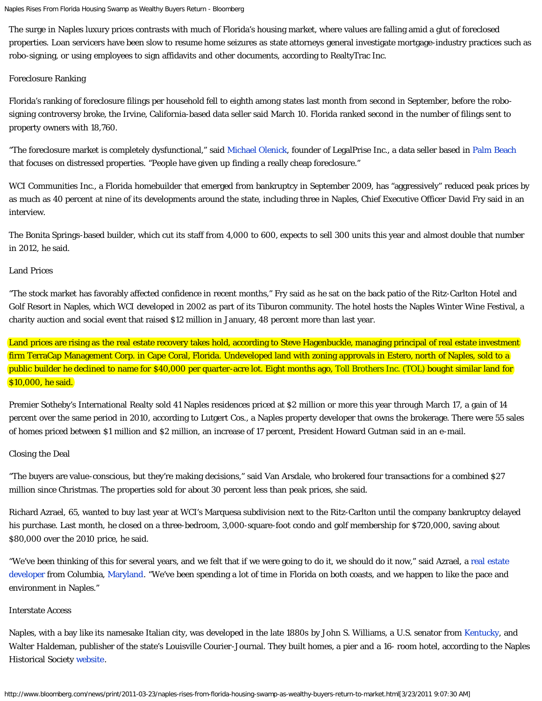```
Naples Rises From Florida Housing Swamp as Wealthy Buyers Return - Bloomberg
```
The surge in Naples luxury prices contrasts with much of Florida's housing market, where values are falling amid a glut of foreclosed properties. Loan servicers have been slow to resume home seizures as state attorneys general investigate mortgage-industry practices such as robo-signing, or using employees to sign affidavits and other documents, according to RealtyTrac Inc.

#### Foreclosure Ranking

Florida's ranking of foreclosure filings per household fell to eighth among states last month from second in September, before the robosigning controversy broke, the Irvine, California-based data seller said March 10. Florida ranked second in the number of filings sent to property owners with 18,760.

"The foreclosure market is completely dysfunctional," said [Michael Olenick,](http://www.legalprise.com/?author=1) founder of LegalPrise Inc., a data seller based in [Palm Beach](http://topics.bloomberg.com/palm-beach/) that focuses on distressed properties. "People have given up finding a really cheap foreclosure."

WCI Communities Inc., a Florida homebuilder that emerged from bankruptcy in September 2009, has "aggressively" reduced peak prices by as much as 40 percent at nine of its developments around the state, including three in Naples, Chief Executive Officer David Fry said in an interview.

The Bonita Springs-based builder, which cut its staff from 4,000 to 600, expects to sell 300 units this year and almost double that number in 2012, he said.

#### Land Prices

"The stock market has favorably affected confidence in recent months," Fry said as he sat on the back patio of the Ritz-Carlton Hotel and Golf Resort in Naples, which WCI developed in 2002 as part of its Tiburon community. The hotel hosts the Naples Winter Wine Festival, a charity auction and social event that raised \$12 million in January, 48 percent more than last year.

Land prices are rising as the real estate recovery takes hold, according to Steve Hagenbuckle, managing principal of real estate investment firm TerraCap Management Corp. in Cape Coral, Florida. Undeveloped land with zoning approvals in Estero, north of Naples, sold to a public builder he declined to name for \$40,000 per quarter-acre lot. Eight months ago, [Toll Brothers Inc. \(TOL\)](http://www.bloomberg.com/apps/quote?ticker=TOL:US) bought similar land for \$10,000, he said.

Premier Sotheby's International Realty sold 41 Naples residences priced at \$2 million or more this year through March 17, a gain of 14 percent over the same period in 2010, according to Lutgert Cos., a Naples property developer that owns the brokerage. There were 55 sales of homes priced between \$1 million and \$2 million, an increase of 17 percent, President Howard Gutman said in an e-mail.

### Closing the Deal

"The buyers are value-conscious, but they're making decisions," said Van Arsdale, who brokered four transactions for a combined \$27 million since Christmas. The properties sold for about 30 percent less than peak prices, she said.

Richard Azrael, 65, wanted to buy last year at WCI's Marquesa subdivision next to the Ritz-Carlton until the company bankruptcy delayed his purchase. Last month, he closed on a three-bedroom, 3,000-square-foot condo and golf membership for \$720,000, saving about \$80,000 over the 2010 price, he said.

"We've been thinking of this for several years, and we felt that if we were going to do it, we should do it now," said Azrael, a [real estate](http://www.chateaubuilderscommunities.com/content/storyofchateaubuilders/storyofchateaubuilders.cfm) [developer](http://www.chateaubuilderscommunities.com/content/storyofchateaubuilders/storyofchateaubuilders.cfm) from Columbia, [Maryland](http://topics.bloomberg.com/maryland/). "We've been spending a lot of time in Florida on both coasts, and we happen to like the pace and environment in Naples."

#### Interstate Access

Naples, with a bay like its namesake Italian city, was developed in the late 1880s by John S. Williams, a U.S. senator from [Kentucky,](http://topics.bloomberg.com/kentucky/) and Walter Haldeman, publisher of the state's Louisville Courier-Journal. They built homes, a pier and a 16- room hotel, according to the Naples Historical Society [website.](http://www.napleshistoricalsociety.org/)